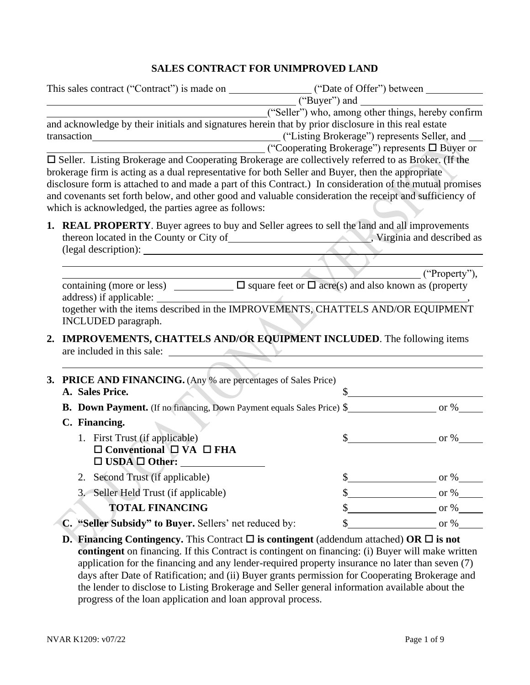## **SALES CONTRACT FOR UNIMPROVED LAND**

| This sales contract ("Contract") is made on _____________________("Date of Offer") between ___________________                                                                                                                                                                                                                                                                                                                                                                             |                                                                                                                                |  |  |  |  |
|--------------------------------------------------------------------------------------------------------------------------------------------------------------------------------------------------------------------------------------------------------------------------------------------------------------------------------------------------------------------------------------------------------------------------------------------------------------------------------------------|--------------------------------------------------------------------------------------------------------------------------------|--|--|--|--|
|                                                                                                                                                                                                                                                                                                                                                                                                                                                                                            | ("Buyer") and<br>("Seller") who, among other things, hereby confirm                                                            |  |  |  |  |
| and acknowledge by their initials and signatures herein that by prior disclosure in this real estate                                                                                                                                                                                                                                                                                                                                                                                       | ("Listing Brokerage") represents Seller, and<br>$\qquad \qquad \qquad$ ("Cooperating Brokerage") represents $\square$ Buyer or |  |  |  |  |
| □ Seller. Listing Brokerage and Cooperating Brokerage are collectively referred to as Broker. (If the<br>brokerage firm is acting as a dual representative for both Seller and Buyer, then the appropriate<br>disclosure form is attached to and made a part of this Contract.) In consideration of the mutual promises<br>and covenants set forth below, and other good and valuable consideration the receipt and sufficiency of<br>which is acknowledged, the parties agree as follows: |                                                                                                                                |  |  |  |  |
| 1. REAL PROPERTY. Buyer agrees to buy and Seller agrees to sell the land and all improvements<br>(legal description):                                                                                                                                                                                                                                                                                                                                                                      |                                                                                                                                |  |  |  |  |
|                                                                                                                                                                                                                                                                                                                                                                                                                                                                                            | $($ "Property"),                                                                                                               |  |  |  |  |
| together with the items described in the IMPROVEMENTS, CHATTELS AND/OR EQUIPMENT<br>INCLUDED paragraph.<br>2. IMPROVEMENTS, CHATTELS AND/OR EQUIPMENT INCLUDED. The following items<br>are included in this sale:                                                                                                                                                                                                                                                                          |                                                                                                                                |  |  |  |  |
|                                                                                                                                                                                                                                                                                                                                                                                                                                                                                            |                                                                                                                                |  |  |  |  |
| <b>3. PRICE AND FINANCING.</b> (Any % are percentages of Sales Price)<br>A. Sales Price.                                                                                                                                                                                                                                                                                                                                                                                                   |                                                                                                                                |  |  |  |  |
|                                                                                                                                                                                                                                                                                                                                                                                                                                                                                            |                                                                                                                                |  |  |  |  |
| C. Financing.                                                                                                                                                                                                                                                                                                                                                                                                                                                                              |                                                                                                                                |  |  |  |  |
| 1. First Trust (if applicable)<br>$\Box$ Conventional $\Box$ VA $\Box$ FHA<br>$\square$ USDA $\square$ Other:                                                                                                                                                                                                                                                                                                                                                                              | $\text{\$\S$}$ or %                                                                                                            |  |  |  |  |
| 2. Second Trust (if applicable)                                                                                                                                                                                                                                                                                                                                                                                                                                                            | $\frac{\text{S}}{\text{S}}$ or %                                                                                               |  |  |  |  |
| Seller Held Trust (if applicable)<br>3.                                                                                                                                                                                                                                                                                                                                                                                                                                                    | $\frac{\text{S}}{\text{S}}$ or %                                                                                               |  |  |  |  |
| <b>TOTAL FINANCING</b>                                                                                                                                                                                                                                                                                                                                                                                                                                                                     | $\frac{\text{S}}{\text{S}}$ or %                                                                                               |  |  |  |  |
| C. "Seller Subsidy" to Buyer. Sellers' net reduced by:                                                                                                                                                                                                                                                                                                                                                                                                                                     | $\int$ or %                                                                                                                    |  |  |  |  |
| <b>D. Financing Contingency.</b> This Contract $\Box$ is contingent (addendum attached) OR $\Box$ is not                                                                                                                                                                                                                                                                                                                                                                                   | <b>contingent</b> on financing. If this Contract is contingent on financing: (i) Buyer will make written                       |  |  |  |  |

**contingent** on financing. If this Contract is contingent on financing: (i) Buyer will make written application for the financing and any lender-required property insurance no later than seven (7) days after Date of Ratification; and (ii) Buyer grants permission for Cooperating Brokerage and the lender to disclose to Listing Brokerage and Seller general information available about the progress of the loan application and loan approval process.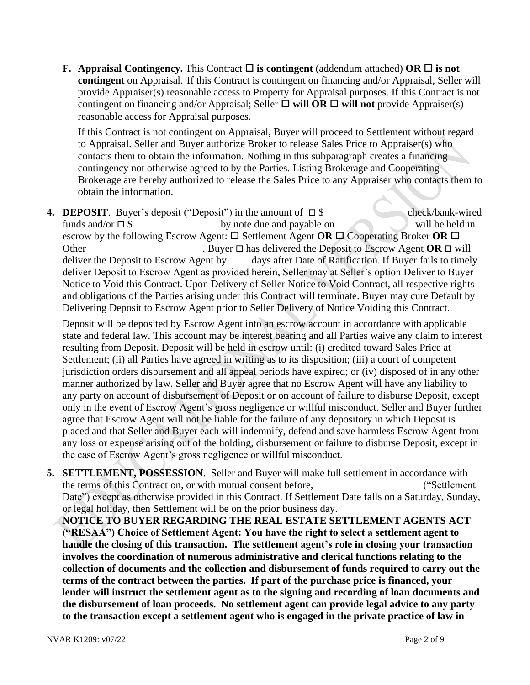**F.** Appraisal Contingency. This Contract  $\Box$  is contingent (addendum attached) OR  $\Box$  is not **contingent** on Appraisal. If this Contract is contingent on financing and/or Appraisal, Seller will provide Appraiser(s) reasonable access to Property for Appraisal purposes. If this Contract is not contingent on financing and/or Appraisal; Seller  $\Box$  will OR  $\Box$  will not provide Appraiser(s) reasonable access for Appraisal purposes.

If this Contract is not contingent on Appraisal, Buyer will proceed to Settlement without regard to Appraisal. Seller and Buyer authorize Broker to release Sales Price to Appraiser(s) who contacts them to obtain the information. Nothing in this subparagraph creates a financing contingency not otherwise agreed to by the Parties. Listing Brokerage and Cooperating Brokerage are hereby authorized to release the Sales Price to any Appraiser who contacts them to obtain the information.

**4. DEPOSIT**. Buyer's deposit ("Deposit") in the amount of \$ check/bank-wired funds and/or  $\square$  \$ by note due and payable on will be held in escrow by the following Escrow Agent:  $\Box$  Settlement Agent **OR**  $\Box$  Cooperating Broker **OR**  $\Box$ Other **.** Buyer **□** has delivered the Deposit to Escrow Agent **OR** □ will deliver the Deposit to Escrow Agent by \_\_\_\_ days after Date of Ratification. If Buyer fails to timely deliver Deposit to Escrow Agent as provided herein, Seller may at Seller's option Deliver to Buyer Notice to Void this Contract. Upon Delivery of Seller Notice to Void Contract, all respective rights and obligations of the Parties arising under this Contract will terminate. Buyer may cure Default by Delivering Deposit to Escrow Agent prior to Seller Delivery of Notice Voiding this Contract.

Deposit will be deposited by Escrow Agent into an escrow account in accordance with applicable state and federal law. This account may be interest bearing and all Parties waive any claim to interest resulting from Deposit. Deposit will be held in escrow until: (i) credited toward Sales Price at Settlement; (ii) all Parties have agreed in writing as to its disposition; (iii) a court of competent jurisdiction orders disbursement and all appeal periods have expired; or (iv) disposed of in any other manner authorized by law. Seller and Buyer agree that no Escrow Agent will have any liability to any party on account of disbursement of Deposit or on account of failure to disburse Deposit, except only in the event of Escrow Agent's gross negligence or willful misconduct. Seller and Buyer further agree that Escrow Agent will not be liable for the failure of any depository in which Deposit is placed and that Seller and Buyer each will indemnify, defend and save harmless Escrow Agent from any loss or expense arising out of the holding, disbursement or failure to disburse Deposit, except in the case of Escrow Agent's gross negligence or willful misconduct.

**5. SETTLEMENT, POSSESSION**. Seller and Buyer will make full settlement in accordance with the terms of this Contract on, or with mutual consent before, ("Settlement" ("Settlement") Date") except as otherwise provided in this Contract. If Settlement Date falls on a Saturday, Sunday, or legal holiday, then Settlement will be on the prior business day.

**NOTICE TO BUYER REGARDING THE REAL ESTATE SETTLEMENT AGENTS ACT ("RESAA") Choice of Settlement Agent: You have the right to select a settlement agent to handle the closing of this transaction. The settlement agent's role in closing your transaction involves the coordination of numerous administrative and clerical functions relating to the collection of documents and the collection and disbursement of funds required to carry out the terms of the contract between the parties. If part of the purchase price is financed, your lender will instruct the settlement agent as to the signing and recording of loan documents and the disbursement of loan proceeds. No settlement agent can provide legal advice to any party to the transaction except a settlement agent who is engaged in the private practice of law in**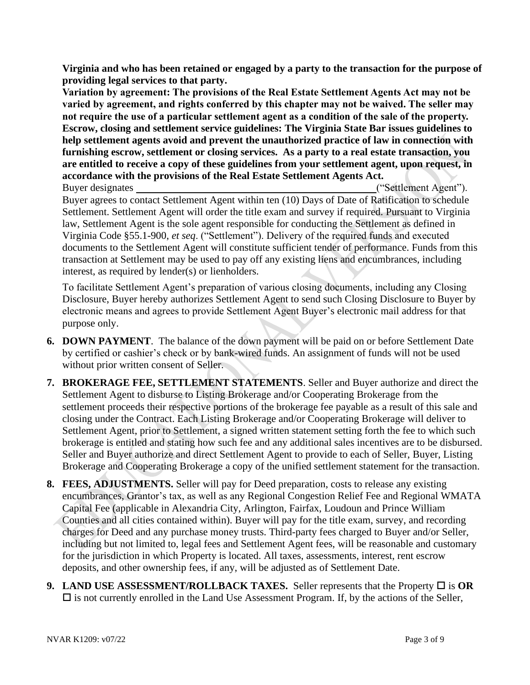**Virginia and who has been retained or engaged by a party to the transaction for the purpose of providing legal services to that party.** 

**Variation by agreement: The provisions of the Real Estate Settlement Agents Act may not be varied by agreement, and rights conferred by this chapter may not be waived. The seller may not require the use of a particular settlement agent as a condition of the sale of the property. Escrow, closing and settlement service guidelines: The Virginia State Bar issues guidelines to help settlement agents avoid and prevent the unauthorized practice of law in connection with furnishing escrow, settlement or closing services. As a party to a real estate transaction, you are entitled to receive a copy of these guidelines from your settlement agent, upon request, in accordance with the provisions of the Real Estate Settlement Agents Act.**

Buyer designates ("Settlement Agent"). Buyer agrees to contact Settlement Agent within ten (10) Days of Date of Ratification to schedule Settlement. Settlement Agent will order the title exam and survey if required. Pursuant to Virginia law, Settlement Agent is the sole agent responsible for conducting the Settlement as defined in Virginia Code §55.1-900, *et seq*. ("Settlement"). Delivery of the required funds and executed documents to the Settlement Agent will constitute sufficient tender of performance. Funds from this transaction at Settlement may be used to pay off any existing liens and encumbrances, including interest, as required by lender(s) or lienholders.

To facilitate Settlement Agent's preparation of various closing documents, including any Closing Disclosure, Buyer hereby authorizes Settlement Agent to send such Closing Disclosure to Buyer by electronic means and agrees to provide Settlement Agent Buyer's electronic mail address for that purpose only.

- **6. DOWN PAYMENT**. The balance of the down payment will be paid on or before Settlement Date by certified or cashier's check or by bank-wired funds. An assignment of funds will not be used without prior written consent of Seller.
- **7. BROKERAGE FEE, SETTLEMENT STATEMENTS**. Seller and Buyer authorize and direct the Settlement Agent to disburse to Listing Brokerage and/or Cooperating Brokerage from the settlement proceeds their respective portions of the brokerage fee payable as a result of this sale and closing under the Contract. Each Listing Brokerage and/or Cooperating Brokerage will deliver to Settlement Agent, prior to Settlement, a signed written statement setting forth the fee to which such brokerage is entitled and stating how such fee and any additional sales incentives are to be disbursed. Seller and Buyer authorize and direct Settlement Agent to provide to each of Seller, Buyer, Listing Brokerage and Cooperating Brokerage a copy of the unified settlement statement for the transaction.
- **8. FEES, ADJUSTMENTS.** Seller will pay for Deed preparation, costs to release any existing encumbrances, Grantor's tax, as well as any Regional Congestion Relief Fee and Regional WMATA Capital Fee (applicable in Alexandria City, Arlington, Fairfax, Loudoun and Prince William Counties and all cities contained within). Buyer will pay for the title exam, survey, and recording charges for Deed and any purchase money trusts. Third-party fees charged to Buyer and/or Seller, including but not limited to, legal fees and Settlement Agent fees, will be reasonable and customary for the jurisdiction in which Property is located. All taxes, assessments, interest, rent escrow deposits, and other ownership fees, if any, will be adjusted as of Settlement Date.
- **9.** LAND USE ASSESSMENT/ROLLBACK TAXES. Seller represents that the Property  $\Box$  is OR  $\square$  is not currently enrolled in the Land Use Assessment Program. If, by the actions of the Seller,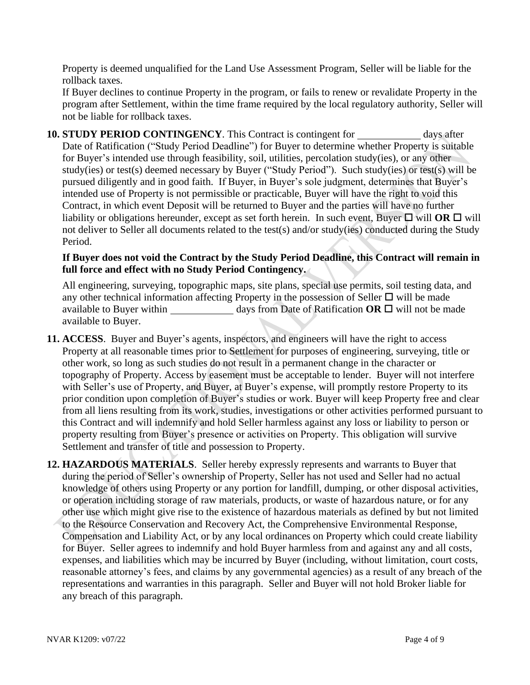Property is deemed unqualified for the Land Use Assessment Program, Seller will be liable for the rollback taxes.

If Buyer declines to continue Property in the program, or fails to renew or revalidate Property in the program after Settlement, within the time frame required by the local regulatory authority, Seller will not be liable for rollback taxes.

**10. STUDY PERIOD CONTINGENCY**. This Contract is contingent for days after Date of Ratification ("Study Period Deadline") for Buyer to determine whether Property is suitable for Buyer's intended use through feasibility, soil, utilities, percolation study(ies), or any other study(ies) or test(s) deemed necessary by Buyer ("Study Period"). Such study(ies) or test(s) will be pursued diligently and in good faith. If Buyer, in Buyer's sole judgment, determines that Buyer's intended use of Property is not permissible or practicable, Buyer will have the right to void this Contract, in which event Deposit will be returned to Buyer and the parties will have no further liability or obligations hereunder, except as set forth herein. In such event, Buyer  $\Box$  will **OR**  $\Box$  will not deliver to Seller all documents related to the test(s) and/or study(ies) conducted during the Study Period.

### **If Buyer does not void the Contract by the Study Period Deadline, this Contract will remain in full force and effect with no Study Period Contingency.**

All engineering, surveying, topographic maps, site plans, special use permits, soil testing data, and any other technical information affecting Property in the possession of Seller  $\Box$  will be made available to Buyer within  $\qquad \qquad \text{days from Date of Rational and } \text{Ratification OR} \square \text{ will not be made}$ available to Buyer.

- **11. ACCESS**. Buyer and Buyer's agents, inspectors, and engineers will have the right to access Property at all reasonable times prior to Settlement for purposes of engineering, surveying, title or other work, so long as such studies do not result in a permanent change in the character or topography of Property. Access by easement must be acceptable to lender. Buyer will not interfere with Seller's use of Property, and Buyer, at Buyer's expense, will promptly restore Property to its prior condition upon completion of Buyer's studies or work. Buyer will keep Property free and clear from all liens resulting from its work, studies, investigations or other activities performed pursuant to this Contract and will indemnify and hold Seller harmless against any loss or liability to person or property resulting from Buyer's presence or activities on Property. This obligation will survive Settlement and transfer of title and possession to Property.
- **12. HAZARDOUS MATERIALS**. Seller hereby expressly represents and warrants to Buyer that during the period of Seller's ownership of Property, Seller has not used and Seller had no actual knowledge of others using Property or any portion for landfill, dumping, or other disposal activities, or operation including storage of raw materials, products, or waste of hazardous nature, or for any other use which might give rise to the existence of hazardous materials as defined by but not limited to the Resource Conservation and Recovery Act, the Comprehensive Environmental Response, Compensation and Liability Act, or by any local ordinances on Property which could create liability for Buyer. Seller agrees to indemnify and hold Buyer harmless from and against any and all costs, expenses, and liabilities which may be incurred by Buyer (including, without limitation, court costs, reasonable attorney's fees, and claims by any governmental agencies) as a result of any breach of the representations and warranties in this paragraph. Seller and Buyer will not hold Broker liable for any breach of this paragraph.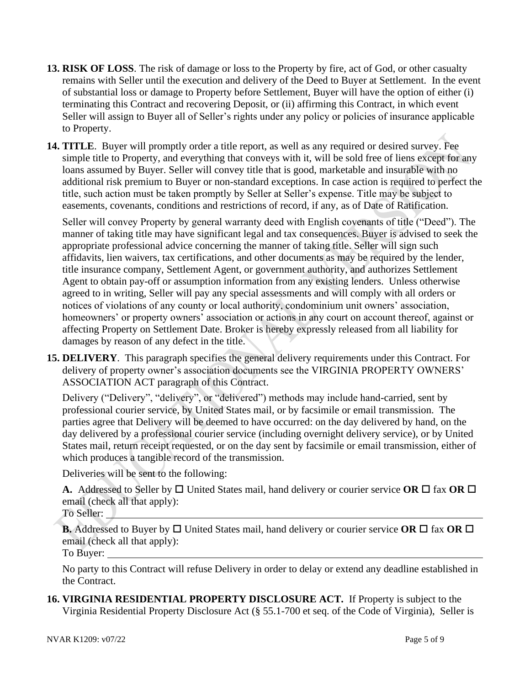- **13. RISK OF LOSS**. The risk of damage or loss to the Property by fire, act of God, or other casualty remains with Seller until the execution and delivery of the Deed to Buyer at Settlement. In the event of substantial loss or damage to Property before Settlement, Buyer will have the option of either (i) terminating this Contract and recovering Deposit, or (ii) affirming this Contract, in which event Seller will assign to Buyer all of Seller's rights under any policy or policies of insurance applicable to Property.
- **14. TITLE**. Buyer will promptly order a title report, as well as any required or desired survey. Fee simple title to Property, and everything that conveys with it, will be sold free of liens except for any loans assumed by Buyer. Seller will convey title that is good, marketable and insurable with no additional risk premium to Buyer or non-standard exceptions. In case action is required to perfect the title, such action must be taken promptly by Seller at Seller's expense. Title may be subject to easements, covenants, conditions and restrictions of record, if any, as of Date of Ratification.

Seller will convey Property by general warranty deed with English covenants of title ("Deed"). The manner of taking title may have significant legal and tax consequences. Buyer is advised to seek the appropriate professional advice concerning the manner of taking title. Seller will sign such affidavits, lien waivers, tax certifications, and other documents as may be required by the lender, title insurance company, Settlement Agent, or government authority, and authorizes Settlement Agent to obtain pay-off or assumption information from any existing lenders. Unless otherwise agreed to in writing, Seller will pay any special assessments and will comply with all orders or notices of violations of any county or local authority, condominium unit owners' association, homeowners' or property owners' association or actions in any court on account thereof, against or affecting Property on Settlement Date. Broker is hereby expressly released from all liability for damages by reason of any defect in the title.

**15. DELIVERY**. This paragraph specifies the general delivery requirements under this Contract. For delivery of property owner's association documents see the VIRGINIA PROPERTY OWNERS' ASSOCIATION ACT paragraph of this Contract.

Delivery ("Delivery", "delivery", or "delivered") methods may include hand-carried, sent by professional courier service, by United States mail, or by facsimile or email transmission. The parties agree that Delivery will be deemed to have occurred: on the day delivered by hand, on the day delivered by a professional courier service (including overnight delivery service), or by United States mail, return receipt requested, or on the day sent by facsimile or email transmission, either of which produces a tangible record of the transmission.

Deliveries will be sent to the following:

**A.** Addressed to Seller by  $\Box$  United States mail, hand delivery or courier service **OR**  $\Box$  fax **OR**  $\Box$ email (check all that apply):

To Seller:

**B.** Addressed to Buyer by  $\Box$  United States mail, hand delivery or courier service **OR**  $\Box$  fax **OR**  $\Box$ email (check all that apply):

To Buyer:

No party to this Contract will refuse Delivery in order to delay or extend any deadline established in the Contract.

**16. VIRGINIA RESIDENTIAL PROPERTY DISCLOSURE ACT.** If Property is subject to the Virginia Residential Property Disclosure Act [\(§ 55.1-700 et seq. of the Code of Virginia\)](https://law.lis.virginia.gov/vacode/title55.1/chapter7/), Seller is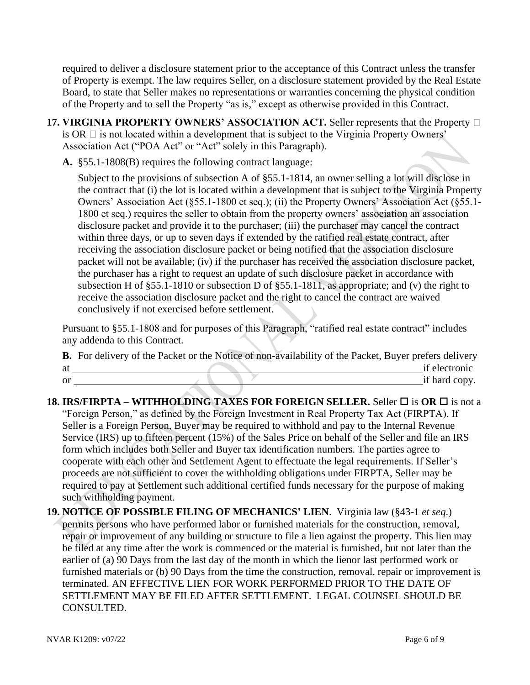required to deliver a disclosure statement prior to the acceptance of this Contract unless the transfer of Property is exempt. The law requires Seller, on a disclosure statement provided by the Real Estate Board, to state that Seller makes no representations or warranties concerning the physical condition of the Property and to sell the Property "as is," except as otherwise provided in this Contract.

- **17. VIRGINIA PROPERTY OWNERS' ASSOCIATION ACT.** Seller represents that the Property  $\Box$ is OR  $\Box$  is not located within a development that is subject to the Virginia Property Owners' Association Act ("POA Act" or "Act" solely in this Paragraph).
	- **A.** §55.1-1808(B) requires the following contract language:

Subject to the provisions of subsection A of §55.1-1814, an owner selling a lot will disclose in the contract that (i) the lot is located within a development that is subject to the Virginia Property Owners' Association Act (§55.1-1800 et seq.); (ii) the Property Owners' Association Act (§55.1- 1800 et seq.) requires the seller to obtain from the property owners' association an association disclosure packet and provide it to the purchaser; (iii) the purchaser may cancel the contract within three days, or up to seven days if extended by the ratified real estate contract, after receiving the association disclosure packet or being notified that the association disclosure packet will not be available; (iv) if the purchaser has received the association disclosure packet, the purchaser has a right to request an update of such disclosure packet in accordance with subsection H of §55.1-1810 or subsection D of §55.1-1811, as appropriate; and (v) the right to receive the association disclosure packet and the right to cancel the contract are waived conclusively if not exercised before settlement.

Pursuant to §55.1-1808 and for purposes of this Paragraph, "ratified real estate contract" includes any addenda to this Contract.

|    | <b>B.</b> For delivery of the Packet or the Notice of non-availability of the Packet, Buyer prefers delivery |
|----|--------------------------------------------------------------------------------------------------------------|
| at | if electronic                                                                                                |
| or | if hard copy.                                                                                                |

- **18. IRS/FIRPTA WITHHOLDING TAXES FOR FOREIGN SELLER. Seller □ is OR □ is not a** "Foreign Person," as defined by the Foreign Investment in Real Property Tax Act (FIRPTA). If Seller is a Foreign Person, Buyer may be required to withhold and pay to the Internal Revenue Service (IRS) up to fifteen percent (15%) of the Sales Price on behalf of the Seller and file an IRS form which includes both Seller and Buyer tax identification numbers. The parties agree to cooperate with each other and Settlement Agent to effectuate the legal requirements. If Seller's proceeds are not sufficient to cover the withholding obligations under FIRPTA, Seller may be required to pay at Settlement such additional certified funds necessary for the purpose of making such withholding payment.
- **19. NOTICE OF POSSIBLE FILING OF MECHANICS' LIEN**. Virginia law (§43-1 *et seq*.) permits persons who have performed labor or furnished materials for the construction, removal, repair or improvement of any building or structure to file a lien against the property. This lien may be filed at any time after the work is commenced or the material is furnished, but not later than the earlier of (a) 90 Days from the last day of the month in which the lienor last performed work or furnished materials or (b) 90 Days from the time the construction, removal, repair or improvement is terminated. AN EFFECTIVE LIEN FOR WORK PERFORMED PRIOR TO THE DATE OF SETTLEMENT MAY BE FILED AFTER SETTLEMENT. LEGAL COUNSEL SHOULD BE CONSULTED.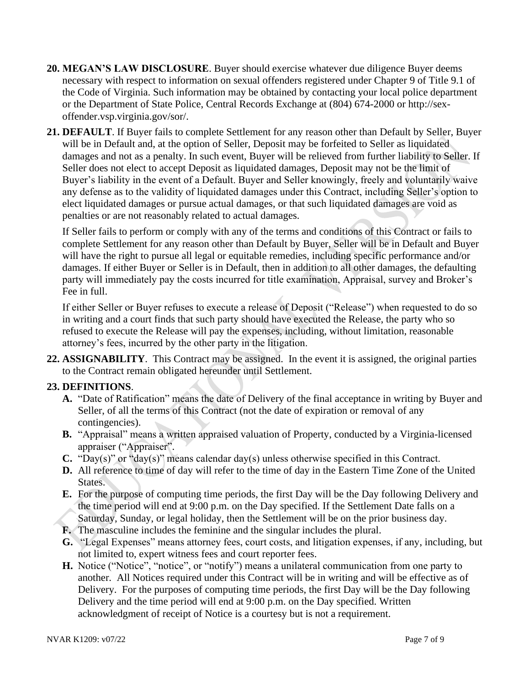- **20. MEGAN'S LAW DISCLOSURE**. Buyer should exercise whatever due diligence Buyer deems necessary with respect to information on sexual offenders registered under Chapter 9 of Title 9.1 of the Code of Virginia. Such information may be obtained by contacting your local police department or the Department of State Police, Central Records Exchange at (804) 674-2000 or [http://sex](http://sex-offender.vsp.virginia.gov/sor/)[offender.vsp.virginia.gov/sor/.](http://sex-offender.vsp.virginia.gov/sor/)
- **21. DEFAULT**. If Buyer fails to complete Settlement for any reason other than Default by Seller, Buyer will be in Default and, at the option of Seller, Deposit may be forfeited to Seller as liquidated damages and not as a penalty. In such event, Buyer will be relieved from further liability to Seller. If Seller does not elect to accept Deposit as liquidated damages, Deposit may not be the limit of Buyer's liability in the event of a Default. Buyer and Seller knowingly, freely and voluntarily waive any defense as to the validity of liquidated damages under this Contract, including Seller's option to elect liquidated damages or pursue actual damages, or that such liquidated damages are void as penalties or are not reasonably related to actual damages.

If Seller fails to perform or comply with any of the terms and conditions of this Contract or fails to complete Settlement for any reason other than Default by Buyer, Seller will be in Default and Buyer will have the right to pursue all legal or equitable remedies, including specific performance and/or damages. If either Buyer or Seller is in Default, then in addition to all other damages, the defaulting party will immediately pay the costs incurred for title examination, Appraisal, survey and Broker's Fee in full.

If either Seller or Buyer refuses to execute a release of Deposit ("Release") when requested to do so in writing and a court finds that such party should have executed the Release, the party who so refused to execute the Release will pay the expenses, including, without limitation, reasonable attorney's fees, incurred by the other party in the litigation.

**22. ASSIGNABILITY**. This Contract may be assigned. In the event it is assigned, the original parties to the Contract remain obligated hereunder until Settlement.

# **23. DEFINITIONS**.

- **A.** "Date of Ratification" means the date of Delivery of the final acceptance in writing by Buyer and Seller, of all the terms of this Contract (not the date of expiration or removal of any contingencies).
- **B.** "Appraisal" means a written appraised valuation of Property, conducted by a Virginia-licensed appraiser ("Appraiser".
- **C.** "Day(s)" or "day(s)" means calendar day(s) unless otherwise specified in this Contract.
- **D.** All reference to time of day will refer to the time of day in the Eastern Time Zone of the United States.
- **E.** For the purpose of computing time periods, the first Day will be the Day following Delivery and the time period will end at 9:00 p.m. on the Day specified. If the Settlement Date falls on a Saturday, Sunday, or legal holiday, then the Settlement will be on the prior business day.
- **F.** The masculine includes the feminine and the singular includes the plural.
- **G.** "Legal Expenses" means attorney fees, court costs, and litigation expenses, if any, including, but not limited to, expert witness fees and court reporter fees.
- **H.** Notice ("Notice", "notice", or "notify") means a unilateral communication from one party to another. All Notices required under this Contract will be in writing and will be effective as of Delivery. For the purposes of computing time periods, the first Day will be the Day following Delivery and the time period will end at 9:00 p.m. on the Day specified. Written acknowledgment of receipt of Notice is a courtesy but is not a requirement.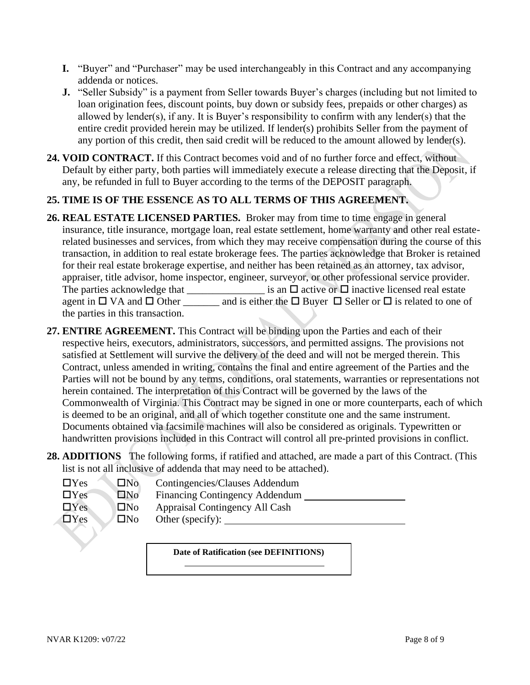- **I.** "Buyer" and "Purchaser" may be used interchangeably in this Contract and any accompanying addenda or notices.
- **J.** "Seller Subsidy" is a payment from Seller towards Buyer's charges (including but not limited to loan origination fees, discount points, buy down or subsidy fees, prepaids or other charges) as allowed by lender(s), if any. It is Buyer's responsibility to confirm with any lender(s) that the entire credit provided herein may be utilized. If lender(s) prohibits Seller from the payment of any portion of this credit, then said credit will be reduced to the amount allowed by lender(s).
- **24. VOID CONTRACT.** If this Contract becomes void and of no further force and effect, without Default by either party, both parties will immediately execute a release directing that the Deposit, if any, be refunded in full to Buyer according to the terms of the DEPOSIT paragraph.

# **25. TIME IS OF THE ESSENCE AS TO ALL TERMS OF THIS AGREEMENT.**

- **26. REAL ESTATE LICENSED PARTIES.** Broker may from time to time engage in general insurance, title insurance, mortgage loan, real estate settlement, home warranty and other real estaterelated businesses and services, from which they may receive compensation during the course of this transaction, in addition to real estate brokerage fees. The parties acknowledge that Broker is retained for their real estate brokerage expertise, and neither has been retained as an attorney, tax advisor, appraiser, title advisor, home inspector, engineer, surveyor, or other professional service provider. The parties acknowledge that \_\_\_\_\_\_\_\_\_\_\_\_\_\_\_\_\_ is an  $\Box$  active or  $\Box$  inactive licensed real estate agent in  $\Box$  VA and  $\Box$  Other and is either the  $\Box$  Buyer  $\Box$  Seller or  $\Box$  is related to one of the parties in this transaction.
- **27. ENTIRE AGREEMENT.** This Contract will be binding upon the Parties and each of their respective heirs, executors, administrators, successors, and permitted assigns. The provisions not satisfied at Settlement will survive the delivery of the deed and will not be merged therein. This Contract, unless amended in writing, contains the final and entire agreement of the Parties and the Parties will not be bound by any terms, conditions, oral statements, warranties or representations not herein contained. The interpretation of this Contract will be governed by the laws of the Commonwealth of Virginia. This Contract may be signed in one or more counterparts, each of which is deemed to be an original, and all of which together constitute one and the same instrument. Documents obtained via facsimile machines will also be considered as originals. Typewritten or handwritten provisions included in this Contract will control all pre-printed provisions in conflict.
- **28. ADDITIONS** The following forms, if ratified and attached, are made a part of this Contract. (This list is not all inclusive of addenda that may need to be attached).

| $\Box$ Yes | $\Box$ No | Contingencies/Clauses Addendum        |
|------------|-----------|---------------------------------------|
| $\Box$ Yes | $\Box$ No | <b>Financing Contingency Addendum</b> |
| $\Box$ Yes | $\Box$ No | Appraisal Contingency All Cash        |
| $\Box$ Yes | $\Box$ No | Other (specify):                      |

**Date of Ratification (see DEFINITIONS)**